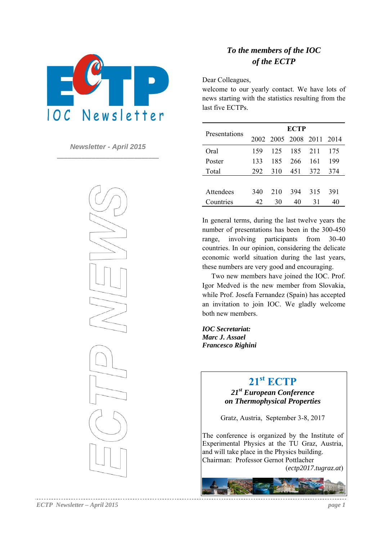

*Newsletter - April 2015*  **\_\_\_\_\_\_\_\_\_\_\_\_\_\_\_\_\_\_\_\_\_\_\_\_\_\_\_\_\_**



### *To the members of the IOC of the ECTP*

Dear Colleagues,

welcome to our yearly contact. We have lots of news starting with the statistics resulting from the last five ECTPs.

| Presentations    |     |     | <b>ECTP</b>              | 211<br>161<br>372<br>315 |     |
|------------------|-----|-----|--------------------------|--------------------------|-----|
|                  |     |     | 2002 2005 2008 2011 2014 |                          |     |
| Oral             | 159 | 125 | 185                      |                          | 175 |
| Poster           | 133 | 185 | 266                      |                          | 199 |
| Total            | 292 | 310 | 451                      |                          | 374 |
|                  |     |     |                          |                          |     |
| <b>Attendees</b> | 340 | 210 | 394                      |                          | 391 |
| Countries        | 42  | 30  | 40                       | 31                       | 40  |

In general terms, during the last twelve years the number of presentations has been in the 300-450 range, involving participants from 30-40 countries. In our opinion, considering the delicate economic world situation during the last years, these numbers are very good and encouraging.

Two new members have joined the IOC. Prof. Igor Medved is the new member from Slovakia, while Prof. Josefa Fernandez (Spain) has accepted an invitation to join IOC. We gladly welcome both new members.

*IOC Secretariat: Marc J. Assael Francesco Righini*

## **21st ECTP**

*21st European Conference on Thermophysical Properties* 

Gratz, Austria, September 3-8, 2017

The conference is organized by the Institute of Experimental Physics at the TU Graz, Austria, and will take place in the Physics building. Chairman: Professor Gernot Pottlacher

(*ectp2017.tugraz.at*)

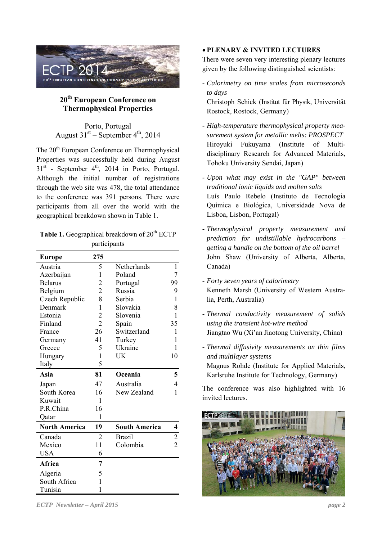

### **20th European Conference on Thermophysical Properties**

Porto, Portugal August  $31<sup>st</sup>$  – September  $4<sup>th</sup>$ , 2014

The 20<sup>th</sup> European Conference on Thermophysical Properties was successfully held during August  $31<sup>st</sup>$  - September  $4<sup>th</sup>$ , 2014 in Porto, Portugal. Although the initial number of registrations through the web site was 478, the total attendance to the conference was 391 persons. There were participants from all over the world with the geographical breakdown shown in Table 1.

### **Table 1.** Geographical breakdown of 20<sup>th</sup> ECTP participants

| <b>Europe</b>        | 275            |                      |                |
|----------------------|----------------|----------------------|----------------|
| Austria              | 5              | Netherlands          | 1              |
| Azerbaijan           | 1              | Poland               | 7              |
| <b>Belarus</b>       | $\overline{c}$ | Portugal             | 99             |
| Belgium              | $\overline{2}$ | Russia               | 9              |
| Czech Republic       | 8              | Serbia               | 1              |
| Denmark              | 1              | Slovakia             | 8              |
| Estonia              | $\overline{2}$ | Slovenia             | 1              |
| Finland              | $\overline{2}$ | Spain                | 35             |
| France               | 26             | Switzerland          | 1              |
| Germany              | 41             | Turkey               | 1              |
| Greece               | 5              | Ukraine              | 1              |
| Hungary              | 1              | UK                   | 10             |
| Italy                | 5              |                      |                |
| Asia                 | 81             | Oceania              | 5              |
| Japan                | 47             | Australia            | 4              |
| South Korea          | 16             | New Zealand          | 1              |
| Kuwait               | 1              |                      |                |
| P.R.China            | 16             |                      |                |
| Qatar                | 1              |                      |                |
| <b>North America</b> | 19             | <b>South America</b> | 4              |
| Canada               | $\overline{2}$ | <b>Brazil</b>        | $\overline{c}$ |
| Mexico               | 11             | Colombia             | $\overline{2}$ |
| <b>USA</b>           | 6              |                      |                |
| Africa               | 7              |                      |                |
| Algeria              | 5              |                      |                |
| South Africa         | $\mathbf{1}$   |                      |                |
| Tunisia              | 1              |                      |                |

**PLENARY & INVITED LECTURES** 

There were seven very interesting plenary lectures given by the following distinguished scientists:

- *Calorimetry on time scales from microseconds to days* 

Christoph Schick (Institut für Physik, Universität Rostock, Rostock, Germany)

- *High-temperature thermophysical property measurement system for metallic melts: PROSPECT* Hiroyuki Fukuyama (Institute of Multidisciplinary Research for Advanced Materials, Tohoku University Sendai, Japan)
- *Upon what may exist in the "GAP" between traditional ionic liquids and molten salts* Luís Paulo Rebelo (Instituto de Tecnologia Química e Biológica, Universidade Nova de Lisboa, Lisbon, Portugal)
- *Thermophysical property measurement and prediction for undistillable hydrocarbons – getting a handle on the bottom of the oil barrel*  John Shaw (University of Alberta, Alberta, Canada)
- *Forty seven years of calorimetry*  Kenneth Marsh (University of Western Australia, Perth, Australia)
- *Thermal conductivity measurement of solids using the transient hot-wire method* Jiangtao Wu (Xi'an Jiaotong University, China)
- *Thermal diffusivity measurements on thin films and multilayer systems* Magnus Rohde (Institute for Applied Materials, Karlsruhe Institute for Technology, Germany)

The conference was also highlighted with 16 invited lectures.



*ECTP Newsletter – April 2015 page 2*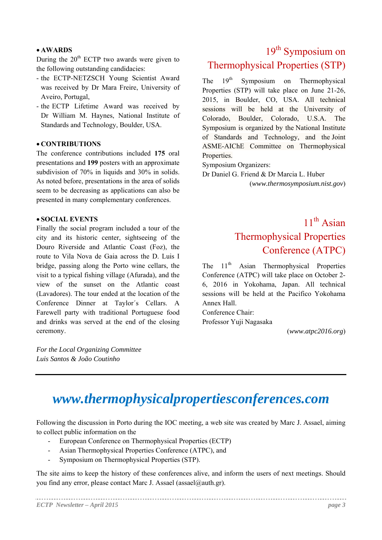### **AWARDS**

During the  $20<sup>th</sup>$  ECTP two awards were given to the following outstanding candidacies:

- the ECTP-NETZSCH Young Scientist Award was received by Dr Mara Freire, University of Aveiro, Portugal,
- the ECTP Lifetime Award was received by Dr William M. Haynes, National Institute of Standards and Technology, Boulder, USA.

### **CONTRIBUTIONS**

The conference contributions included **175** oral presentations and **199** posters with an approximate subdivision of 70% in liquids and 30% in solids. As noted before, presentations in the area of solids seem to be decreasing as applications can also be presented in many complementary conferences.

#### **SOCIAL EVENTS**

Finally the social program included a tour of the city and its historic center, sightseeing of the Douro Riverside and Atlantic Coast (Foz), the route to Vila Nova de Gaia across the D. Luis I bridge, passing along the Porto wine cellars, the visit to a typical fishing village (Afurada), and the view of the sunset on the Atlantic coast (Lavadores). The tour ended at the location of the Conference Dinner at Taylor´s Cellars. A Farewell party with traditional Portuguese food and drinks was served at the end of the closing ceremony.

*For the Local Organizing Committee Luis Santos & João Coutinho* 

# 19<sup>th</sup> Symposium on Thermophysical Properties (STP)

The  $19<sup>th</sup>$  Symposium on Thermophysical Properties (STP) will take place on June 21-26, 2015, in Boulder, CO, USA. All technical sessions will be held at the University of Colorado, Boulder, Colorado, U.S.A. The Symposium is organized by the National Institute of Standards and Technology, and the Joint ASME-AIChE Committee on Thermophysical Properties.

Symposium Organizers:

Dr Daniel G. Friend & Dr Marcia L. Huber

(*www.thermosymposium.nist.gov*)

# $11<sup>th</sup>$  Asian Thermophysical Properties Conference (ATPC)

The  $11<sup>th</sup>$  Asian Thermophysical Properties Conference (ATPC) will take place on October 2- 6, 2016 in Yokohama, Japan. All technical sessions will be held at the Pacifico Yokohama Annex Hall.

Conference Chair:

Professor Yuji Nagasaka

(*www.atpc2016.org*)

# *www.thermophysicalpropertiesconferences.com*

Following the discussion in Porto during the IOC meeting, a web site was created by Marc J. Assael, aiming to collect public information on the

- European Conference on Thermophysical Properties (ECTP)
- Asian Thermophysical Properties Conference (ATPC), and
- Symposium on Thermophysical Properties (STP).

The site aims to keep the history of these conferences alive, and inform the users of next meetings. Should you find any error, please contact Marc J. Assael (assael@auth.gr).